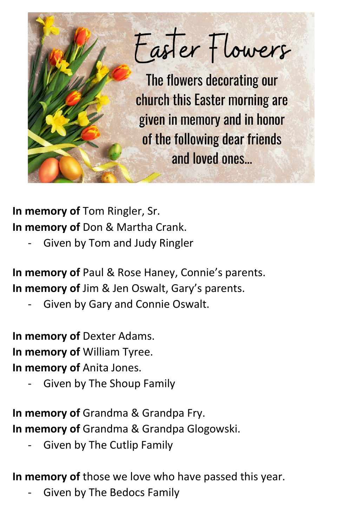

**In memory of** Tom Ringler, Sr. **In memory of** Don & Martha Crank.

Given by Tom and Judy Ringler

**In memory of** Paul & Rose Haney, Connie's parents. **In memory of** Jim & Jen Oswalt, Gary's parents.

Given by Gary and Connie Oswalt.

**In memory of** Dexter Adams. **In memory of** William Tyree. **In memory of** Anita Jones.

Given by The Shoup Family

**In memory of** Grandma & Grandpa Fry. **In memory of** Grandma & Grandpa Glogowski.

Given by The Cutlip Family

**In memory of** those we love who have passed this year.

- Given by The Bedocs Family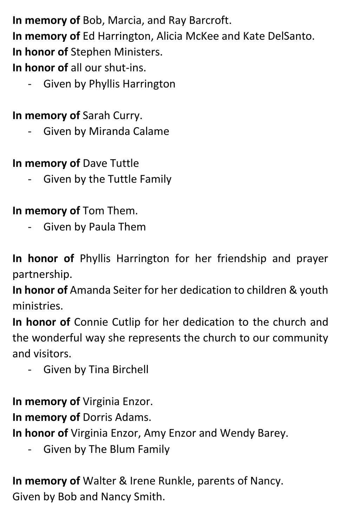**In memory of** Bob, Marcia, and Ray Barcroft.

**In memory of** Ed Harrington, Alicia McKee and Kate DelSanto. **In honor of** Stephen Ministers.

**In honor of** all our shut-ins.

- Given by Phyllis Harrington

**In memory of** Sarah Curry.

Given by Miranda Calame

**In memory of** Dave Tuttle

Given by the Tuttle Family

**In memory of** Tom Them.

- Given by Paula Them

**In honor of** Phyllis Harrington for her friendship and prayer partnership.

**In honor of** Amanda Seiter for her dedication to children & youth ministries.

**In honor of** Connie Cutlip for her dedication to the church and the wonderful way she represents the church to our community and visitors.

- Given by Tina Birchell

**In memory of** Virginia Enzor.

**In memory of** Dorris Adams.

**In honor of** Virginia Enzor, Amy Enzor and Wendy Barey.

- Given by The Blum Family

**In memory of** Walter & Irene Runkle, parents of Nancy. Given by Bob and Nancy Smith.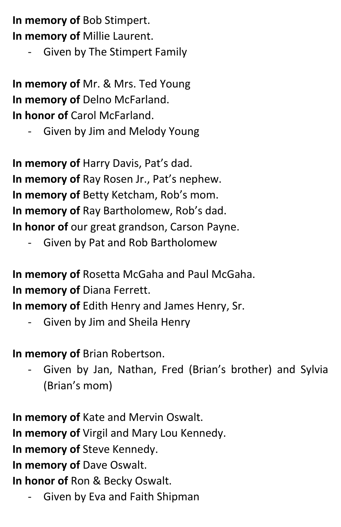**In memory of** Bob Stimpert. **In memory of** Millie Laurent.

Given by The Stimpert Family

**In memory of** Mr. & Mrs. Ted Young **In memory of** Delno McFarland. **In honor of** Carol McFarland.

Given by Jim and Melody Young

**In memory of** Harry Davis, Pat's dad. **In memory of** Ray Rosen Jr., Pat's nephew. **In memory of** Betty Ketcham, Rob's mom. **In memory of** Ray Bartholomew, Rob's dad. **In honor of** our great grandson, Carson Payne.

Given by Pat and Rob Bartholomew

**In memory of** Rosetta McGaha and Paul McGaha. **In memory of** Diana Ferrett.

**In memory of** Edith Henry and James Henry, Sr.

- Given by Jim and Sheila Henry

**In memory of** Brian Robertson.

Given by Jan, Nathan, Fred (Brian's brother) and Sylvia (Brian's mom)

**In memory of** Kate and Mervin Oswalt. **In memory of** Virgil and Mary Lou Kennedy. **In memory of** Steve Kennedy. **In memory of** Dave Oswalt. **In honor of** Ron & Becky Oswalt.

Given by Eva and Faith Shipman